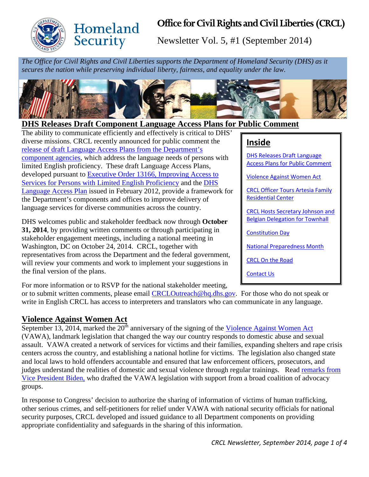

**Homeland** Security

# **Office for Civil Rights and Civil Liberties (CRCL)**

Newsletter Vol. 5, #1 (September 2014)

*The Office for Civil Rights and Civil Liberties supports the Department of Homeland Security (DHS) as it secures the nation while preserving individual liberty, fairness, and equality under the law.*



#### <span id="page-0-0"></span>**DHS Releases Draft Component Language Access Plans for Public Comment**

The ability to communicate efficiently and effectively is critical to DHS' diverse missions. CRCL recently announced for public comment the [release of draft Language Access Plans from the Department's](http://www.dhs.gov/language-access)  [component agencies,](http://www.dhs.gov/language-access) which address the language needs of persons with limited English proficiency. These draft Language Access Plans, developed pursuant to [Executive Order 13166, Improving Access to](http://www.gpo.gov/fdsys/pkg/FR-2000-08-16/pdf/00-20938.pdf)  [Services for Persons with Limited English Proficiency](http://www.gpo.gov/fdsys/pkg/FR-2000-08-16/pdf/00-20938.pdf) and the [DHS](http://www.dhs.gov/xlibrary/assets/crcl/crcl-dhs-language-access-plan.pdf)  [Language Access Plan](http://www.dhs.gov/xlibrary/assets/crcl/crcl-dhs-language-access-plan.pdf) issued in February 2012, provide a framework for the Department's components and offices to improve delivery of language services for diverse communities across the country.

DHS welcomes public and stakeholder feedback now through **October 31, 2014**, by providing written comments or through participating in stakeholder engagement meetings, including a national meeting in Washington, DC on October 24, 2014. CRCL, together with representatives from across the Department and the federal government, will review your comments and work to implement your suggestions in the final version of the plans.

# **Inside**

[DHS Releases Draft Language](#page-0-0)  [Access Plans for Public Comment](#page-0-0)

[Violence Against Women Act](#page-0-1)

[CRCL Officer Tours](#page-1-0) Artesia Family [Residential](#page-1-0) Center

[CRCL Hosts Secretary Johnson and](#page-1-1)  Belgian [Delegation for Townhall](#page-1-1)

[Constitution Day](#page-2-0)

[National Preparedness Month](#page-2-1)

[CRCL On the Road](#page-3-0)

[Contact Us](#page-3-1)

For more information or to RSVP for the national stakeholder meeting,

or to submit written comments, please email [CRCLOutreach@hq.dhs.gov.](mailto:CRCLOutreach@hq.dhs.gov) For those who do not speak or write in English CRCL has access to interpreters and translators who can communicate in any language.

#### <span id="page-0-1"></span>**Violence Against Women Act**

September 13, 2014, marked the  $20<sup>th</sup>$  anniversary of the signing of the [Violence Against Women Act](http://www.whitehouse.gov/sites/default/files/docs/vawa_factsheet.pdf) (VAWA), landmark legislation that changed the way our country responds to domestic abuse and sexual assault. VAWA created a network of services for victims and their families, expanding shelters and rape crisis centers across the country, and establishing a national hotline for victims. The legislation also changed state and local laws to hold offenders accountable and ensured that law enforcement officers, prosecutors, and judges understand the realities of domestic and sexual violence through regular trainings. Read [remarks from](http://www.whitehouse.gov/blog/2014/09/09/even-one-case-too-many-vice-president-biden-marks-20th-anniversary-violence-against-)  [Vice President Biden,](http://www.whitehouse.gov/blog/2014/09/09/even-one-case-too-many-vice-president-biden-marks-20th-anniversary-violence-against-) who drafted the VAWA legislation with support from a broad coalition of advocacy groups.

In response to Congress' decision to authorize the sharing of information of victims of human trafficking, other serious crimes, and self-petitioners for relief under VAWA with national security officials for national security purposes, CRCL developed and issued guidance to all Department components on providing appropriate confidentiality and safeguards in the sharing of this information.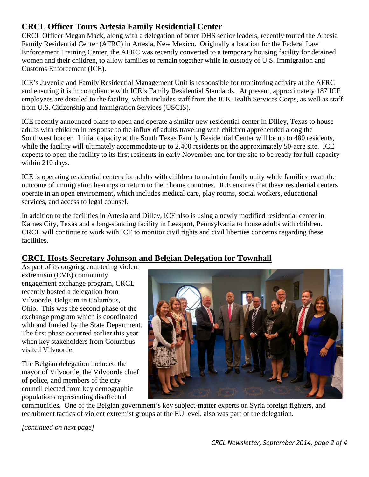### <span id="page-1-0"></span>**CRCL Officer Tours Artesia Family Residential Center**

CRCL Officer Megan Mack, along with a delegation of other DHS senior leaders, recently toured the Artesia Family Residential Center (AFRC) in Artesia, New Mexico. Originally a location for the Federal Law Enforcement Training Center, the AFRC was recently converted to a temporary housing facility for detained women and their children, to allow families to remain together while in custody of U.S. Immigration and Customs Enforcement (ICE).

ICE's Juvenile and Family Residential Management Unit is responsible for monitoring activity at the AFRC and ensuring it is in compliance with ICE's Family Residential Standards. At present, approximately 187 ICE employees are detailed to the facility, which includes staff from the ICE Health Services Corps, as well as staff from U.S. Citizenship and Immigration Services (USCIS).

ICE recently announced plans to open and operate a similar new residential center in Dilley, Texas to house adults with children in response to the influx of adults traveling with children apprehended along the Southwest border. Initial capacity at the South Texas Family Residential Center will be up to 480 residents, while the facility will ultimately accommodate up to 2,400 residents on the approximately 50-acre site. ICE expects to open the facility to its first residents in early November and for the site to be ready for full capacity within 210 days.

ICE is operating residential centers for adults with children to maintain family unity while families await the outcome of immigration hearings or return to their home countries. ICE ensures that these residential centers operate in an open environment, which includes medical care, play rooms, social workers, educational services, and access to legal counsel.

In addition to the facilities in Artesia and Dilley, ICE also is using a newly modified residential center in Karnes City, Texas and a long-standing facility in Leesport, Pennsylvania to house adults with children. CRCL will continue to work with ICE to monitor civil rights and civil liberties concerns regarding these facilities.

## <span id="page-1-1"></span>**CRCL Hosts Secretary Johnson and Belgian Delegation for Townhall**

As part of its ongoing countering violent extremism (CVE) community engagement exchange program, CRCL recently hosted a delegation from Vilvoorde, Belgium in Columbus, Ohio. This was the second phase of the exchange program which is coordinated with and funded by the State Department. The first phase occurred earlier this year when key stakeholders from Columbus visited Vilvoorde.

The Belgian delegation included the mayor of Vilvoorde, the Vilvoorde chief of police, and members of the city council elected from key demographic populations representing disaffected



communities. One of the Belgian government's key subject-matter experts on Syria foreign fighters, and recruitment tactics of violent extremist groups at the EU level, also was part of the delegation.

*[continued on next page]*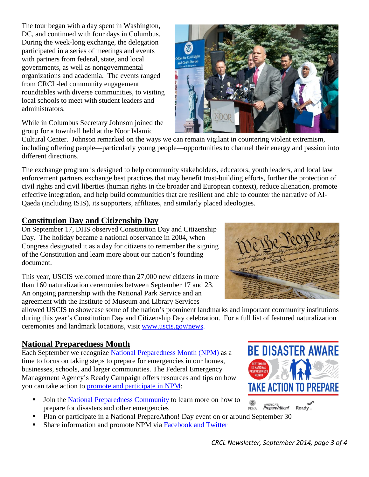The tour began with a day spent in Washington, DC, and continued with four days in Columbus. During the week-long exchange, the delegation participated in a series of meetings and events with partners from federal, state, and local governments, as well as nongovernmental organizations and academia. The events ranged from CRCL-led community engagement roundtables with diverse communities, to visiting local schools to meet with student leaders and administrators.

While in Columbus Secretary Johnson joined the group for a townhall held at the Noor Islamic

Cultural Center. Johnson remarked on the ways we can remain vigilant in countering violent extremism, including offering people—particularly young people—opportunities to channel their energy and passion into different directions.

The exchange program is designed to help community stakeholders, educators, youth leaders, and local law enforcement partners exchange best practices that may benefit trust-building efforts, further the protection of civil rights and civil liberties (human rights in the broader and European context), reduce alienation, promote effective integration, and help build communities that are resilient and able to counter the narrative of Al-Qaeda (including ISIS), its supporters, affiliates, and similarly placed ideologies.

#### <span id="page-2-0"></span>**Constitution Day and Citizenship Day**

On September 17, DHS observed Constitution Day and Citizenship Day. The holiday became a national observance in 2004, when Congress designated it as a day for citizens to remember the signing of the Constitution and learn more about our nation's founding document.

This year, USCIS welcomed more than 27,000 new citizens in more than 160 naturalization ceremonies between September 17 and 23. An ongoing partnership with the National Park Service and an agreement with the Institute of Museum and Library Services

allowed USCIS to showcase some of the nation's prominent landmarks and important community institutions during this year's Constitution Day and Citizenship Day celebration. For a full list of featured naturalization ceremonies and landmark locations, visit [www.uscis.gov/news.](http://www.uscis.gov/news/celebrating-constitution-day-and-citizenship-day-naturalization-ceremonies)

#### <span id="page-2-1"></span>**National Preparedness Month**

Each September we recognize [National Preparedness Month](http://www.ready.gov/september) (NPM) as a time to focus on taking steps to prepare for emergencies in our homes, businesses, schools, and larger communities. The Federal Emergency Management Agency's Ready Campaign offers resources and tips on how you can take action to [promote and participate in NPM:](http://www.fema.gov/media-library-data/1408469393524-bdff9658091b898e5b5b5594655e835b/How%20to%20Get%20Involved%202014%20NPM%20Quick%20Guide.pdf)

- Join the [National Preparedness Community](http://www.community.fema.gov/connect.ti/readynpm/grouphome) to learn more on how to prepare for disasters and other emergencies
- Plan or participate in a National PrepareAthon! Day event on or around September 30
- Share information and promote NPM via [Facebook and Twitter](http://www.community.fema.gov/connect.ti/readynpm/view?objectId=3230512)